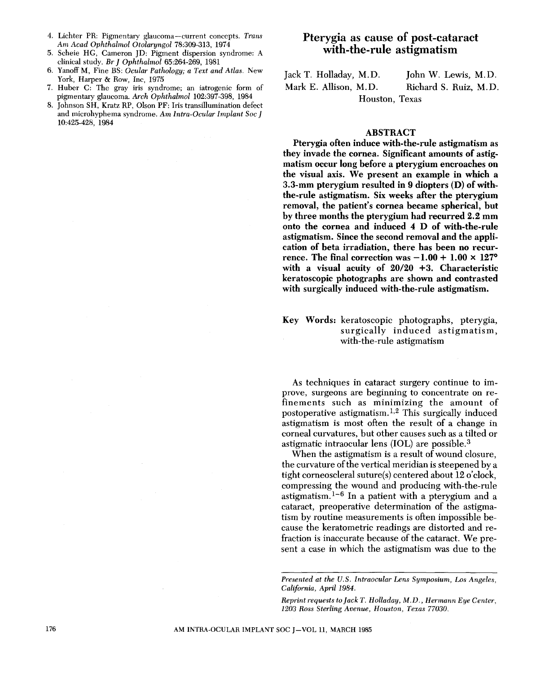- 4. Lichter PR: Pigmentary glaucoma-current concepts. *Trans Am Acad Ophthalmol Otolaryngol* 78:309-313, 1974
- 5. Scheie HG, Cameron JD: Pigment dispersion syndrome: A clinical study. *Br* J *Ophthalmol* 65:264-269, 1981
- 6. Yanoff M, Fine BS: *Ocular Pathology; a Text and Atlas.* New York, Harper & Row, Inc, 1975
- 7. Huber C: The gray iris syndrome; an iatrogenic form of pigmentary glaucoma. *Arch Ophthalmol* 102:397-398, 1984
- 8. Johnson SH, Kratz RP, Olson PF: Iris transillumination defect and microhyphema syndrome. *Am Intra-Ocular Implant Soc* J 10:425-428, 1984

# Pterygia as cause of post-cataract with-the-rule astigmatism

Jack T. Holladay, M.D. Mark E. Allison, M.D. John W. Lewis, M.D. Richard S. Ruiz, M.D. Houston, Texas

### ABSTRACT

Pterygia often induce with-the-rule astigmatism as they invade the cornea. Significant amounts of astigmatism occur long before a pterygium encroaches on the visual axis. We present an example in which a 3.3-mm pterygium resulted in 9 diopters (D) of withthe-rule astigmatism. Six weeks after the pterygium removal, the patient's cornea became spherical, but by three months the pterygium had recurred 2.2 mm onto the cornea and induced 4 D of with-the-rule astigmatism. Since the second removal and the application of beta irradiation, there. has been no recurrence. The final correction was  $-1.00 + 1.00 \times 127$ ° with a visual acuity of *20/20* +3. Characteristic keratoscopic photographs are shown and contrasted with surgically induced with-the-rule astigmatism.

## Key Words: keratoscopic photographs, pterygia, surgically induced astigmatism, with-the-rule astigmatism

As techniques in cataract surgery continue to improve, surgeons are beginning to concentrate on refinements such as minimizing the amount of postoperative astigmatism.<sup>1,2</sup> This surgically induced astigmatism is most often the result of a change in corneal curvatures, but other causes such as a tilted or astigmatic intraocular lens (IOL) are possible. 3

When the astigmatism is a result of wound closure, the curvature of the vertical meridian is steepened by a tight corneoscleral suture(s) centered about 12 o'clock, compressing the wound and producing with-the-rule astigmatism.  $1-6$  In a patient with a pterygium and a cataract, preoperative determination of the astigmatism by routine measurements is often impossible because the keratometric readings are distorted and refraction is inaccurate because of the cataract. We present a case in which the astigmatism was due to the

*Presented at the U.S. Intraocular Lens Symposium, Los Angeles, California, April* 1984.

*Reprint requests to Jack T. Holladay, M.D., Hermann Eye Center, 1203 Ross Sterling Avenue, Houston, Texas 77030.*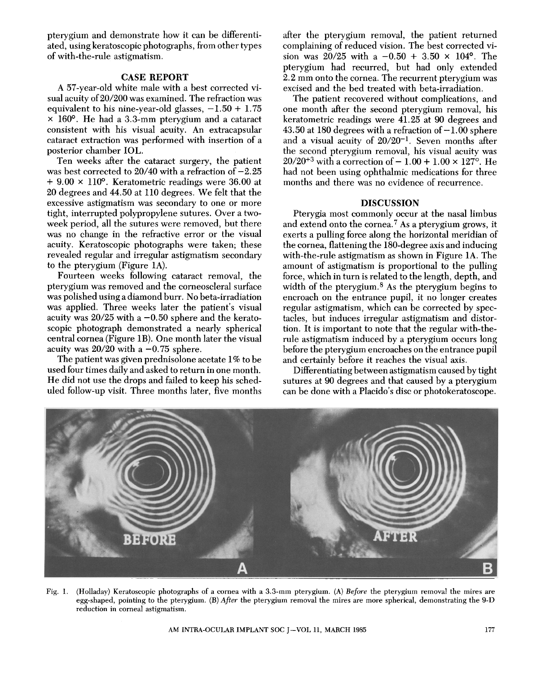pterygium and demonstrate how it can be differentiated, using keratoscopic photographs, from other types of with-the-rule astigmatism.

## CASE **REPORT**

A 57-year-old white male with a best corrected visual acuity *of20/200* was examined. The refraction was equivalent to his nine-year-old glasses,  $-1.50 + 1.75$ x 160°. He had a 3.3~mm pterygium and a cataract consistent with his visual acuity. An extracapsular cataract extraction was performed with insertion of a posterior chamber IOL.

Ten weeks after the cataract surgery, the patient was best corrected to 20/40 with a refraction of  $-2.25$  $+$  9.00  $\times$  110<sup>o</sup>. Keratometric readings were 36.00 at 20 degrees and 44.50 at 110 degrees. We felt that the excessive astigmatism was secondary to one or more tight, interrupted polypropylene sutures. Over a twoweek period, all the sutures were removed, but there was no change in the refractive error or the visual acuity. Keratoscopic photographs were taken; these revealed regular and irregular astigmatism secondary to the pterygium (Figure *1A).* 

Fourteen weeks following cataract removal, the pterygium was removed and the corneoscleral surface was polished using a diamond burr. No beta-irradiation was applied. Three weeks later the patient's visual acuity was  $20/25$  with a  $-0.50$  sphere and the keratoscopic photograph demonstrated a nearly spherical central cornea (Figure 1B). One month later the visual acuity was  $20/20$  with a  $-0.75$  sphere.

The patient was given prednisolone acetate 1% to be used four times daily and asked to return in one month. He did not use the drops and failed to keep his scheduled follow-up visit. Three months later, five months after the pterygium removal, the patient returned complaining of reduced vision. The best corrected vision was  $20/25$  with a  $-0.50 + 3.50 \times 104$ °. The pterygium had recurred, but had only extended 2.2 mm onto the cornea. The recurrent pterygium was excised and the bed treated with beta-irradiation.

The patient recovered without complications, and one month after the second pterygium removal, his keratometric readings were 41. 25 at 90 degrees and 43.50 at 180 degrees with a refraction of  $-1.00$  sphere and a visual acuity of  $20/20^{-1}$ . Seven months after the second pterygium removal, his visual acuity was  $20/20^{+3}$  with a correction of  $-1.00 + 1.00 \times 127$ <sup>o</sup>. He had not been using ophthalmic medications for three months and there was no evidence of recurrence.

### DISCUSSION

Pterygia most commonly occur at the nasal limbus and extend onto the cornea.<sup>7</sup> As a pterygium grows, it exerts a pulling force along the horizontal meridian of the cornea, flattening the 180-degree axis and inducing with-the-rule astigmatism as shown in Figure *1A.* The amount of astigmatism is proportional to the pulling force, which in turn is related to the length, depth, and width of the pterygium. 8 As the pterygium begins to encroach on the entrance pupil, it no longer creates regular astigmatism, which can be corrected by spectacles, but induces irregular astigmatism and distortion. It is important to note that the regular with-therule astigmatism induced by a pterygium occurs long before the pterygium encroaches on the entrance pupil and certainly before it reaches the visual axis.

Differentiating between astigmatism caused by tight sutures at 90 degrees and that caused by a pterygium can be done with a Placido's disc or photokeratoscope.



Fig. 1. (Holladay) Keratoscopic photographs of a cornea with a 3.3-mm pterygium. (A) *Before* the pterygium removal the mires are egg-shaped, pointing to the pterygium. (B) *After* the pterygium removal the mires are more spherical, demonstrating the 9-D reduction in corneal astigmatism.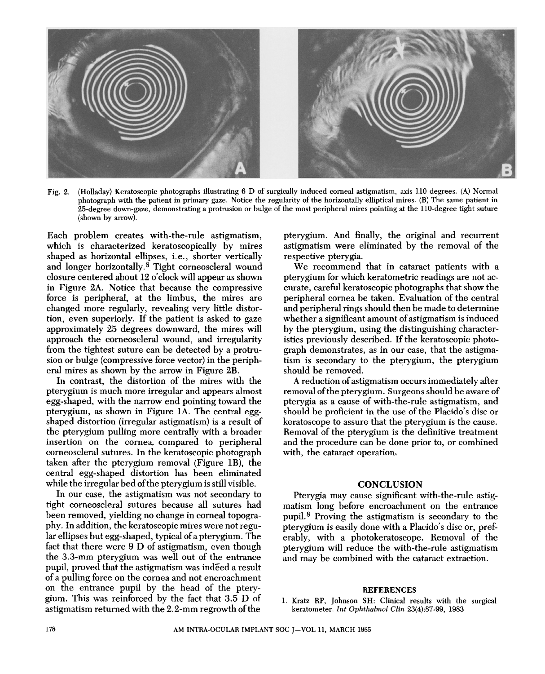

Fig. 2. (Holladay) Keratoscopic photographs illustrating 6 D of surgically induced corneal astigmatism, axis 110 degrees. (A) Normal photograph with the patient in primary gaze. Notice the regularity of the horizontally elliptical mires. (B) The same patient in 25-degree down-gaze, demonstrating a protrusion or bulge of the most peripheral mires pointing at the 110-degree tight suture (shown by arrow).

Each problem creates with-the-rule astigmatism, which is characterized keratoscopically by mires shaped as horizontal ellipses, *i.e.*, shorter vertically and longer horizontally. 8 Tight corneoscleral wound closure centered about 12 o'clock will appear as shown in Figure 2A. Notice that because the compressive force is peripheral, at the limbus, the mires are changed more regularly, revealing very little distortion, even superiorly. If the patient is asked to gaze approximately 25 degrees downward, the mires will approach the corneoscleral wound, and irregularity from the tightest suture can be detected by a protrusion or bulge (compressive force vector) in the peripheral mires as shown by the arrow in Figure 2B.

In contrast, the distortion of the mires with the pterygium is much more irregular and appears almost egg-shaped, with the narrow end pointing toward the pterygium, as shown in Figure 1A. The central eggshaped distortion (irregular astigmatism) is a result of the pterygium pulling more centrally with a broader insertion on the cornea. compared to peripheral corneoscleral sutures. In the keratoscopic photograph taken after the pterygium removal (Figure 1B), the central egg-shaped distortion has been eliminated while the irregular bed of the pterygium is still visible.

In our case, the astigmatism was not secondary to tight corneoscleral sutures because all sutures had been removed, yielding no change in corneal topography. In addition, the keratoscopic mires were not regular ellipses but egg-shaped, typical of a pterygium. The fact that there were 9 D of astigmatism, even though the 3.3-mm pterygium was well out of the entrance pupil, proved that the astigmatism was indeed a result of a pulling force on the cornea and not encroachment on the entrance pupil by the head of the pterygium. This was reinforced by the fact that 3.5 D of astigmatism returned with the 2.2-mm regrowth of the

pterygium. And finally, the original and recurrent astigmatism were eliminated by the removal of the respective pterygia.

We recommend that in cataract patients with a pterygium for which keratometric readings are not accurate, careful keratoscopic photographs that show the peripheral cornea be taken. Evaluation of the central and peripheral rings should then be made to determine whether a significant amount of astigmatism is induced by the pterygium, using the distinguishing characteristics previously described. If the keratoscopic photograph demonstrates, as in our case, that the astigmatism is secondary to the pterygium, the pterygium should be removed.

A reduction of astigmatism occurs immediately after removal of the pterygium. Surgeons should be aware of pterygia as a cause of with-the-rule astigmatism, and should be proficient in the use of the Placido's disc or keratoscope to assure that the pterygium is the cause. Removal of the pterygium is the definitive treatment and the procedure can be done prior to, or combined with, the cataract operation.

#### **CONCLUSION**

Pterygia may cause significant with-the-rule astigmatism long before encroachment on the entrance pupil. 8 Proving the astigmatism is secondary to the pterygium is easily done with a Placido's disc or, preferably, with a photokeratoscope. Removal of the pterygium will reduce the with-the-rule astigmatism and may be combined with the cataract extraction.

#### REFERENCES

1. Kratz RP, Johnson SH: Clinical results with the surgical keratometer. *Int Ophthalmol Glin* 23(4):87-99, 1983